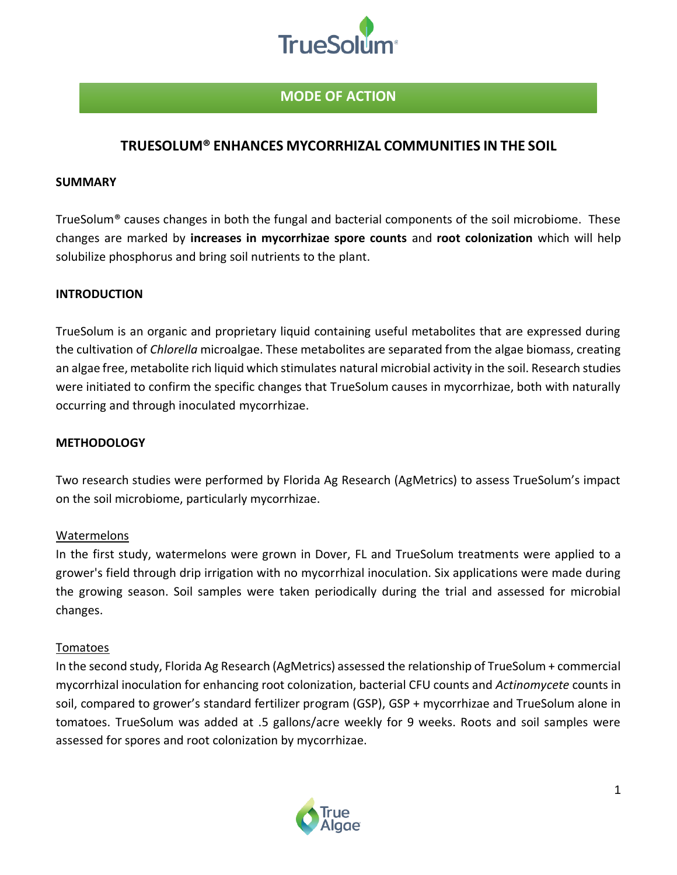

# **MODE OF ACTION**

## **TRUESOLUM® ENHANCES MYCORRHIZAL COMMUNITIES IN THE SOIL**

#### **SUMMARY**

TrueSolum® causes changes in both the fungal and bacterial components of the soil microbiome. These changes are marked by **increases in mycorrhizae spore counts** and **root colonization** which will help solubilize phosphorus and bring soil nutrients to the plant.

#### **INTRODUCTION**

TrueSolum is an organic and proprietary liquid containing useful metabolites that are expressed during the cultivation of *Chlorella* microalgae. These metabolites are separated from the algae biomass, creating an algae free, metabolite rich liquid which stimulates natural microbial activity in the soil. Research studies were initiated to confirm the specific changes that TrueSolum causes in mycorrhizae, both with naturally occurring and through inoculated mycorrhizae.

#### **METHODOLOGY**

Two research studies were performed by Florida Ag Research (AgMetrics) to assess TrueSolum's impact on the soil microbiome, particularly mycorrhizae.

### Watermelons

In the first study, watermelons were grown in Dover, FL and TrueSolum treatments were applied to a grower's field through drip irrigation with no mycorrhizal inoculation. Six applications were made during the growing season. Soil samples were taken periodically during the trial and assessed for microbial changes.

#### Tomatoes

In the second study, Florida Ag Research (AgMetrics) assessed the relationship of TrueSolum + commercial mycorrhizal inoculation for enhancing root colonization, bacterial CFU counts and *Actinomycete* counts in soil, compared to grower's standard fertilizer program (GSP), GSP + mycorrhizae and TrueSolum alone in tomatoes. TrueSolum was added at .5 gallons/acre weekly for 9 weeks. Roots and soil samples were assessed for spores and root colonization by mycorrhizae.

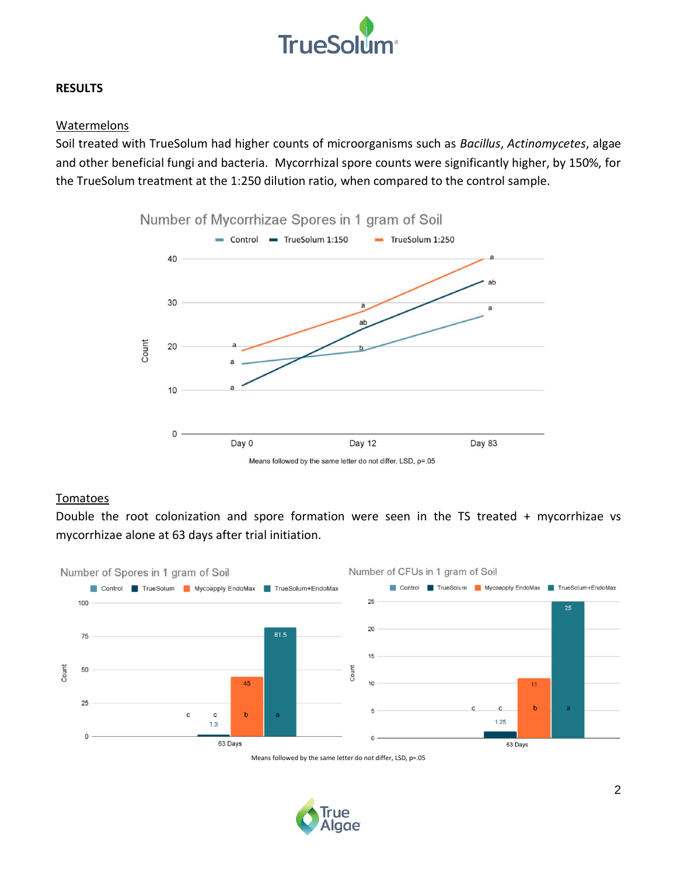

#### **RESULTS**

#### Watermelons

Soil treated with TrueSolum had higher counts of microorganisms such as *Bacillus*, *Actinomycetes*, algae and other beneficial fungi and bacteria. Mycorrhizal spore counts were significantly higher, by 150%, for the TrueSolum treatment at the 1:250 dilution ratio, when compared to the control sample.



#### Tomatoes

Double the root colonization and spore formation were seen in the TS treated + mycorrhizae vs mycorrhizae alone at 63 days after trial initiation.



Means followed by the same letter do not differ, LSD, p=.05